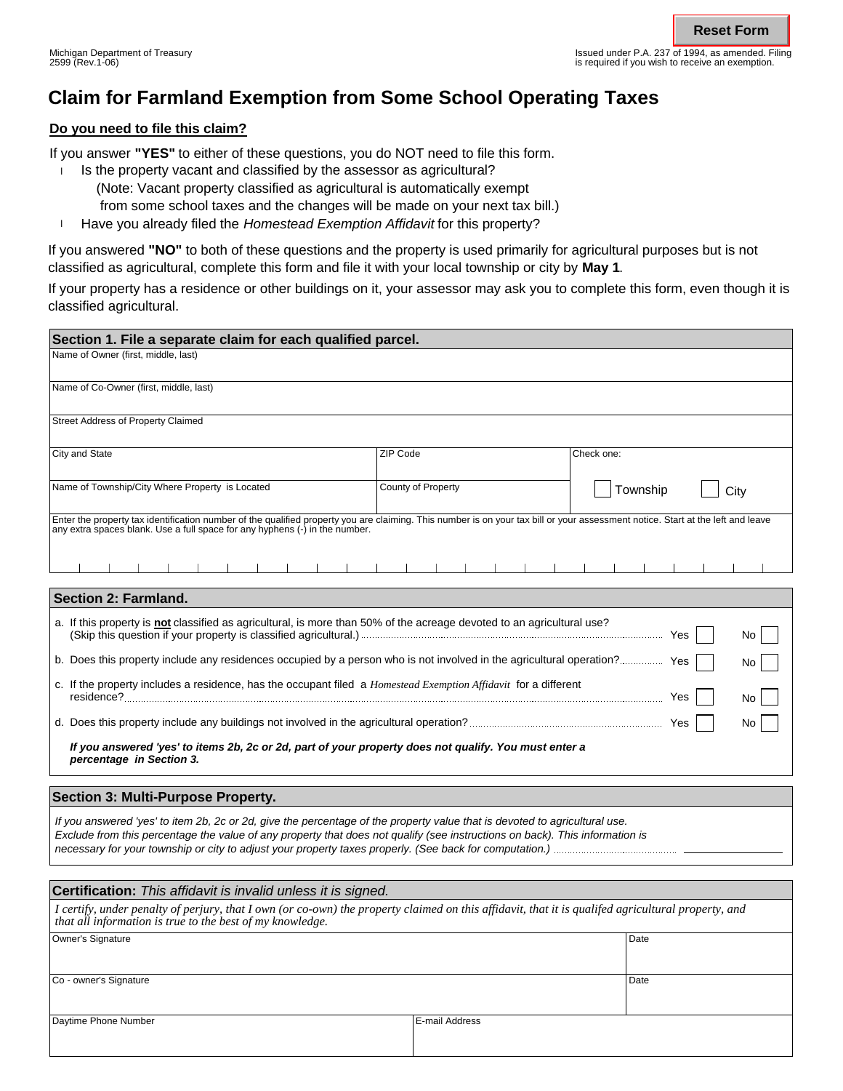Issued under P.A. 237 of 1994, as amended. Filing is required if you wish to receive an exemption.

# **Claim for Farmland Exemption from Some School Operating Taxes**

## **Do you need to file this claim?**

If you answer **"YES"** to either of these questions, you do NOT need to file this form.

- Is the property vacant and classified by the assessor as agricultural? l
	- (Note: Vacant property classified as agricultural is automatically exempt
	- from some school taxes and the changes will be made on your next tax bill.)
- **Have you already filed the Homestead Exemption Affidavit for this property?**

If you answered **"NO"** to both of these questions and the property is used primarily for agricultural purposes but is not classified as agricultural, complete this form and file it with your local township or city by **May 1**.

If your property has a residence or other buildings on it, your assessor may ask you to complete this form, even though it is classified agricultural.

| Section 1. File a separate claim for each qualified parcel.                                                                                                                                                                                                         |                    |                  |  |
|---------------------------------------------------------------------------------------------------------------------------------------------------------------------------------------------------------------------------------------------------------------------|--------------------|------------------|--|
| Name of Owner (first, middle, last)                                                                                                                                                                                                                                 |                    |                  |  |
| Name of Co-Owner (first, middle, last)                                                                                                                                                                                                                              |                    |                  |  |
| <b>Street Address of Property Claimed</b>                                                                                                                                                                                                                           |                    |                  |  |
| City and State                                                                                                                                                                                                                                                      | ZIP Code           | Check one:       |  |
| Name of Township/City Where Property is Located                                                                                                                                                                                                                     | County of Property | Township<br>City |  |
| Enter the property tax identification number of the qualified property you are claiming. This number is on your tax bill or your assessment notice. Start at the left and leave<br>any extra spaces blank. Use a full space for any hyphens (-) in the number.<br>. |                    |                  |  |
|                                                                                                                                                                                                                                                                     |                    |                  |  |
| <b>Section 2: Farmland.</b>                                                                                                                                                                                                                                         |                    |                  |  |
| a. If this property is not classified as agricultural, is more than 50% of the acreage devoted to an agricultural use?<br>No                                                                                                                                        |                    |                  |  |
| b. Does this property include any residences occupied by a person who is not involved in the agricultural operation? Yes<br>No.                                                                                                                                     |                    |                  |  |
| c. If the property includes a residence, has the occupant filed a <i>Homestead Exemption Affidavit</i> for a different<br>No                                                                                                                                        |                    |                  |  |
| No                                                                                                                                                                                                                                                                  |                    |                  |  |
| If you answered 'yes' to items 2b, 2c or 2d, part of your property does not qualify. You must enter a<br>percentage in Section 3.                                                                                                                                   |                    |                  |  |
|                                                                                                                                                                                                                                                                     |                    |                  |  |

*If you answered 'yes' to item 2b, 2c or 2d, give the percentage of the property value that is devoted to agricultural use. Exclude from this percentage the value of any property that does not qualify (see instructions on back). This information is necessary for your township or city to adjust your property taxes properly. (See back for computation.)* **Section 3: Multi-Purpose Property.**

| <b>Certification:</b> This affidavit is invalid unless it is signed.                                                                                                                                            |                |      |  |  |
|-----------------------------------------------------------------------------------------------------------------------------------------------------------------------------------------------------------------|----------------|------|--|--|
| I certify, under penalty of perjury, that I own (or co-own) the property claimed on this affidavit, that it is qualifed agricultural property, and<br>that all information is true to the best of my knowledge. |                |      |  |  |
| Owner's Signature                                                                                                                                                                                               |                | Date |  |  |
| Co - owner's Signature                                                                                                                                                                                          |                | Date |  |  |
| Daytime Phone Number                                                                                                                                                                                            | E-mail Address |      |  |  |